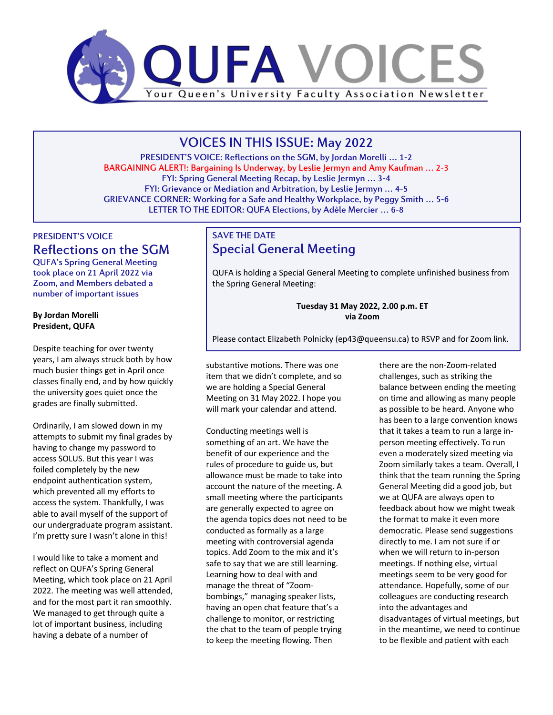

# VOICES IN THIS ISSUE: May 2022

PRESIDENT'S VOICE: Reflections on the SGM, by Jordan Morelli … 1-2 BARGAINING ALERT!: Bargaining Is Underway, by Leslie Jermyn and Amy Kaufman … 2-3 FYI: Spring General Meeting Recap, by Leslie Jermyn … 3-4 FYI: Grievance or Mediation and Arbitration, by Leslie Jermyn … 4-5 GRIEVANCE CORNER: Working for a Safe and Healthy Workplace, by Peggy Smith … 5-6 LETTER TO THE EDITOR: QUFA Elections, by Adèle Mercier … 6-8

## PRESIDENT'S VOICE Reflections on the SGM

QUFA's Spring General Meeting took place on 21 April 2022 via Zoom, and Members debated a number of important issues

### **By Jordan Morelli President, QUFA**

Despite teaching for over twenty years, I am always struck both by how much busier things get in April once classes finally end, and by how quickly the university goes quiet once the grades are finally submitted.

Ordinarily, I am slowed down in my attempts to submit my final grades by having to change my password to access SOLUS. But this year I was foiled completely by the new endpoint authentication system, which prevented all my efforts to access the system. Thankfully, I was able to avail myself of the support of our undergraduate program assistant. I'm pretty sure I wasn't alone in this!

I would like to take a moment and reflect on QUFA's Spring General Meeting, which took place on 21 April 2022. The meeting was well attended, and for the most part it ran smoothly. We managed to get through quite a lot of important business, including having a debate of a number of

## SAVE THE DATE Special General Meeting

QUFA is holding a Special General Meeting to complete unfinished business from the Spring General Meeting:

> **Tuesday 31 May 2022, 2.00 p.m. ET via Zoom**

Please contact Elizabeth Polnicky (ep43@queensu.ca) to RSVP and for Zoom link.

substantive motions. There was one item that we didn't complete, and so we are holding a Special General Meeting on 31 May 2022. I hope you will mark your calendar and attend.

Conducting meetings well is something of an art. We have the benefit of our experience and the rules of procedure to guide us, but allowance must be made to take into account the nature of the meeting. A small meeting where the participants are generally expected to agree on the agenda topics does not need to be conducted as formally as a large meeting with controversial agenda topics. Add Zoom to the mix and it's safe to say that we are still learning. Learning how to deal with and manage the threat of "Zoombombings," managing speaker lists, having an open chat feature that's a challenge to monitor, or restricting the chat to the team of people trying to keep the meeting flowing. Then

there are the non-Zoom-related challenges, such as striking the balance between ending the meeting on time and allowing as many people as possible to be heard. Anyone who has been to a large convention knows that it takes a team to run a large inperson meeting effectively. To run even a moderately sized meeting via Zoom similarly takes a team. Overall, I think that the team running the Spring General Meeting did a good job, but we at QUFA are always open to feedback about how we might tweak the format to make it even more democratic. Please send suggestions directly to me. I am not sure if or when we will return to in-person meetings. If nothing else, virtual meetings seem to be very good for attendance. Hopefully, some of our colleagues are conducting research into the advantages and disadvantages of virtual meetings, but in the meantime, we need to continue to be flexible and patient with each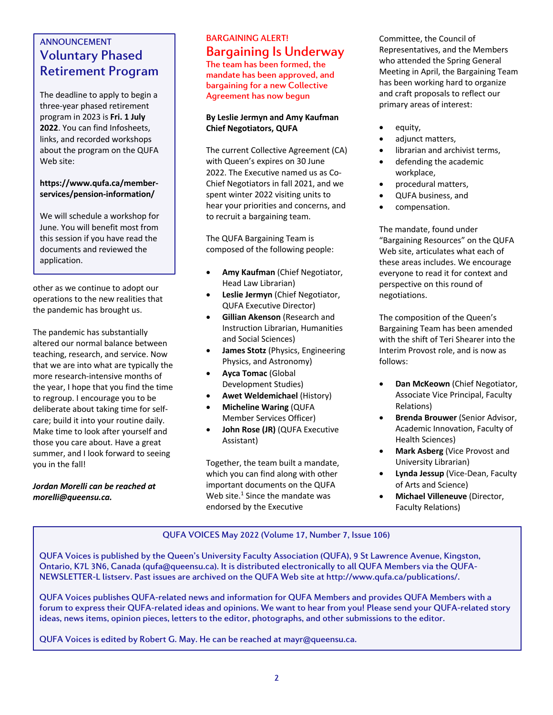## ANNOUNCEMENT Voluntary Phased Retirement Program

The deadline to apply to begin a three-year phased retirement program in 2023 is **Fri. 1 July 2022**. You can find Infosheets, links, and recorded workshops about the program on the QUFA Web site:

### **https://www.qufa.ca/memberservices/pension-information/**

We will schedule a workshop for June. You will benefit most from this session if you have read the documents and reviewed the application.

other as we continue to adopt our operations to the new realities that the pandemic has brought us.

The pandemic has substantially altered our normal balance between teaching, research, and service. Now that we are into what are typically the more research-intensive months of the year, I hope that you find the time to regroup. I encourage you to be deliberate about taking time for selfcare; build it into your routine daily. Make time to look after yourself and those you care about. Have a great summer, and I look forward to seeing you in the fall!

*Jordan Morelli can be reached at morelli@queensu.ca.*

## BARGAINING ALERT! Bargaining Is Underway

The team has been formed, the mandate has been approved, and bargaining for a new Collective Agreement has now begun

### **By Leslie Jermyn and Amy Kaufman Chief Negotiators, QUFA**

The current Collective Agreement (CA) with Queen's expires on 30 June 2022. The Executive named us as Co-Chief Negotiators in fall 2021, and we spent winter 2022 visiting units to hear your priorities and concerns, and to recruit a bargaining team.

The QUFA Bargaining Team is composed of the following people:

- **Amy Kaufman** (Chief Negotiator, Head Law Librarian)
- **Leslie Jermyn** (Chief Negotiator, QUFA Executive Director)
- **Gillian Akenson** (Research and Instruction Librarian, Humanities and Social Sciences)
- **James Stotz** (Physics, Engineering Physics, and Astronomy)
- **Ayca Tomac** (Global Development Studies)
- **Awet Weldemichael** (History)
- **Micheline Waring** (QUFA Member Services Officer)
- **John Rose (JR)** (QUFA Executive Assistant)

Together, the team built a mandate, which you can find along with other important documents on the QUFA Web site. $1$  Since the mandate was endorsed by the Executive

Committee, the Council of Representatives, and the Members who attended the Spring General Meeting in April, the Bargaining Team has been working hard to organize and craft proposals to reflect our primary areas of interest:

- equity,
- adjunct matters,
- librarian and archivist terms,
- defending the academic workplace,
- procedural matters,
- QUFA business, and
- compensation.

The mandate, found under "Bargaining Resources" on the QUFA Web site, articulates what each of these areas includes. We encourage everyone to read it for context and perspective on this round of negotiations.

The composition of the Queen's Bargaining Team has been amended with the shift of Teri Shearer into the Interim Provost role, and is now as follows:

- **Dan McKeown** (Chief Negotiator, Associate Vice Principal, Faculty Relations)
- **Brenda Brouwer** (Senior Advisor, Academic Innovation, Faculty of Health Sciences)
- **Mark Asberg** (Vice Provost and University Librarian)
- **Lynda Jessup** (Vice-Dean, Faculty of Arts and Science)
- **Michael Villeneuve** (Director, Faculty Relations)

### QUFA VOICES May 2022 (Volume 17, Number 7, Issue 106)

QUFA Voices is published by the Queen's University Faculty Association (QUFA), 9 St Lawrence Avenue, Kingston, Ontario, K7L 3N6, Canada (qufa@queensu.ca). It is distributed electronically to all QUFA Members via the QUFA-NEWSLETTER-L listserv. Past issues are archived on the QUFA Web site at http://www.qufa.ca/publications/.

QUFA Voices publishes QUFA-related news and information for QUFA Members and provides QUFA Members with a forum to express their QUFA-related ideas and opinions. We want to hear from you! Please send your QUFA-related story ideas, news items, opinion pieces, letters to the editor, photographs, and other submissions to the editor.

QUFA Voices is edited by Robert G. May. He can be reached at mayr@queensu.ca.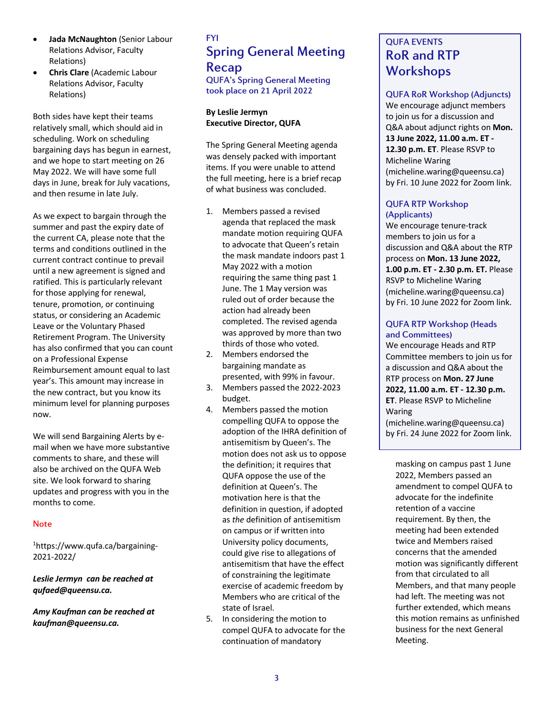- **Jada McNaughton** (Senior Labour Relations Advisor, Faculty Relations)
- **Chris Clare** (Academic Labour Relations Advisor, Faculty Relations)

Both sides have kept their teams relatively small, which should aid in scheduling. Work on scheduling bargaining days has begun in earnest, and we hope to start meeting on 26 May 2022. We will have some full days in June, break for July vacations, and then resume in late July.

As we expect to bargain through the summer and past the expiry date of the current CA, please note that the terms and conditions outlined in the current contract continue to prevail until a new agreement is signed and ratified. This is particularly relevant for those applying for renewal, tenure, promotion, or continuing status, or considering an Academic Leave or the Voluntary Phased Retirement Program. The University has also confirmed that you can count on a Professional Expense Reimbursement amount equal to last year's. This amount may increase in the new contract, but you know its minimum level for planning purposes now.

We will send Bargaining Alerts by email when we have more substantive comments to share, and these will also be archived on the QUFA Web site. We look forward to sharing updates and progress with you in the months to come.

#### **Note**

1 https://www.qufa.ca/bargaining-2021-2022/

### *Leslie Jermyn can be reached at qufaed@queensu.ca.*

*Amy Kaufman can be reached at kaufman@queensu.ca.*

## FYI Spring General Meeting Recap

QUFA's Spring General Meeting took place on 21 April 2022

### **By Leslie Jermyn Executive Director, QUFA**

The Spring General Meeting agenda was densely packed with important items. If you were unable to attend the full meeting, here is a brief recap of what business was concluded.

- 1. Members passed a revised agenda that replaced the mask mandate motion requiring QUFA to advocate that Queen's retain the mask mandate indoors past 1 May 2022 with a motion requiring the same thing past 1 June. The 1 May version was ruled out of order because the action had already been completed. The revised agenda was approved by more than two thirds of those who voted.
- 2. Members endorsed the bargaining mandate as presented, with 99% in favour.
- 3. Members passed the 2022-2023 budget.
- 4. Members passed the motion compelling QUFA to oppose the adoption of the IHRA definition of antisemitism by Queen's. The motion does not ask us to oppose the definition; it requires that QUFA oppose the use of the definition at Queen's. The motivation here is that the definition in question, if adopted as *the* definition of antisemitism on campus or if written into University policy documents, could give rise to allegations of antisemitism that have the effect of constraining the legitimate exercise of academic freedom by Members who are critical of the state of Israel.
- 5. In considering the motion to compel QUFA to advocate for the continuation of mandatory

## QUFA EVENTS RoR and RTP **Workshops**

### QUFA RoR Workshop (Adjuncts)

We encourage adjunct members to join us for a discussion and Q&A about adjunct rights on **Mon. 13 June 2022, 11.00 a.m. ET - 12.30 p.m. ET**. Please RSVP to Micheline Waring (micheline.waring@queensu.ca) by Fri. 10 June 2022 for Zoom link.

### QUFA RTP Workshop (Applicants)

We encourage tenure-track members to join us for a discussion and Q&A about the RTP process on **Mon. 13 June 2022, 1.00 p.m. ET - 2.30 p.m. ET.** Please RSVP to Micheline Waring (micheline.waring@queensu.ca) by Fri. 10 June 2022 for Zoom link.

#### QUFA RTP Workshop (Heads and Committees)

We encourage Heads and RTP Committee members to join us for a discussion and Q&A about the RTP process on **Mon. 27 June 2022, 11.00 a.m. ET - 12.30 p.m. ET**. Please RSVP to Micheline Waring

(micheline.waring@queensu.ca) by Fri. 24 June 2022 for Zoom link.

masking on campus past 1 June 2022, Members passed an amendment to compel QUFA to advocate for the indefinite retention of a vaccine requirement. By then, the meeting had been extended twice and Members raised concerns that the amended motion was significantly different from that circulated to all Members, and that many people had left. The meeting was not further extended, which means this motion remains as unfinished business for the next General Meeting.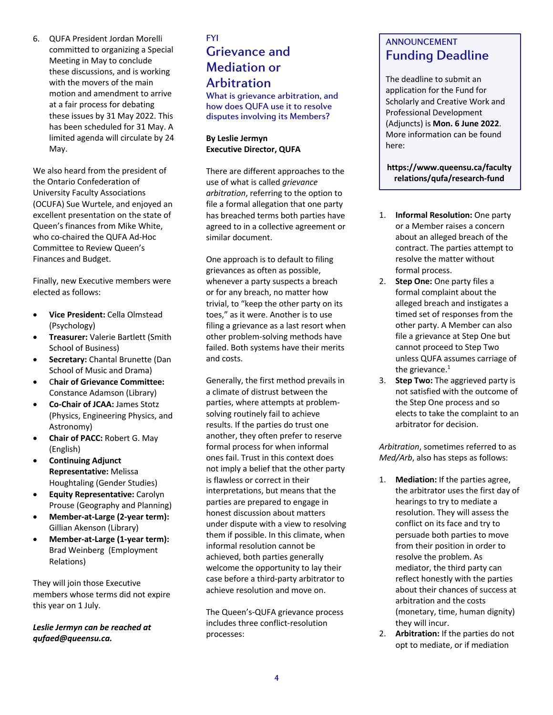6. QUFA President Jordan Morelli committed to organizing a Special Meeting in May to conclude these discussions, and is working with the movers of the main motion and amendment to arrive at a fair process for debating these issues by 31 May 2022. This has been scheduled for 31 May. A limited agenda will circulate by 24 May.

We also heard from the president of the Ontario Confederation of University Faculty Associations (OCUFA) Sue Wurtele, and enjoyed an excellent presentation on the state of Queen's finances from Mike White, who co-chaired the QUFA Ad-Hoc Committee to Review Queen's Finances and Budget.

Finally, new Executive members were elected as follows:

- **Vice President:** Cella Olmstead (Psychology)
- **Treasurer:** Valerie Bartlett (Smith School of Business)
- **Secretary:** Chantal Brunette (Dan School of Music and Drama)
- C**hair of Grievance Committee:** Constance Adamson (Library)
- **Co-Chair of JCAA:** James Stotz (Physics, Engineering Physics, and Astronomy)
- **Chair of PACC:** Robert G. May (English)
- **Continuing Adjunct Representative:** Melissa Houghtaling (Gender Studies)
- **Equity Representative:** Carolyn Prouse (Geography and Planning)
- **Member-at-Large (2-year term):** Gillian Akenson (Library)
- **Member-at-Large (1-year term):** Brad Weinberg (Employment Relations)

They will join those Executive members whose terms did not expire this year on 1 July.

*Leslie Jermyn can be reached at qufaed@queensu.ca.*

# FYI Grievance and Mediation or **Arbitration**

What is grievance arbitration, and how does QUFA use it to resolve disputes involving its Members?

### **By Leslie Jermyn Executive Director, QUFA**

There are different approaches to the use of what is called *grievance arbitration*, referring to the option to file a formal allegation that one party has breached terms both parties have agreed to in a collective agreement or similar document.

One approach is to default to filing grievances as often as possible, whenever a party suspects a breach or for any breach, no matter how trivial, to "keep the other party on its toes," as it were. Another is to use filing a grievance as a last resort when other problem-solving methods have failed. Both systems have their merits and costs.

Generally, the first method prevails in a climate of distrust between the parties, where attempts at problemsolving routinely fail to achieve results. If the parties do trust one another, they often prefer to reserve formal process for when informal ones fail. Trust in this context does not imply a belief that the other party is flawless or correct in their interpretations, but means that the parties are prepared to engage in honest discussion about matters under dispute with a view to resolving them if possible. In this climate, when informal resolution cannot be achieved, both parties generally welcome the opportunity to lay their case before a third-party arbitrator to achieve resolution and move on.

The Queen's-QUFA grievance process includes three conflict-resolution processes:

## ANNOUNCEMENT Funding Deadline

The deadline to submit an application for the Fund for Scholarly and Creative Work and Professional Development (Adjuncts) is **Mon. 6 June 2022**. More information can be found here:

**https://www.queensu.ca/faculty relations/qufa/research-fund**

- 1. **Informal Resolution:** One party or a Member raises a concern about an alleged breach of the contract. The parties attempt to resolve the matter without formal process.
- 2. **Step One:** One party files a formal complaint about the alleged breach and instigates a timed set of responses from the other party. A Member can also file a grievance at Step One but cannot proceed to Step Two unless QUFA assumes carriage of the grievance. $1$
- 3. **Step Two:** The aggrieved party is not satisfied with the outcome of the Step One process and so elects to take the complaint to an arbitrator for decision.

*Arbitration*, sometimes referred to as *Med/Arb*, also has steps as follows:

- 1. **Mediation:** If the parties agree, the arbitrator uses the first day of hearings to try to mediate a resolution. They will assess the conflict on its face and try to persuade both parties to move from their position in order to resolve the problem. As mediator, the third party can reflect honestly with the parties about their chances of success at arbitration and the costs (monetary, time, human dignity) they will incur.
- 2. **Arbitration:** If the parties do not opt to mediate, or if mediation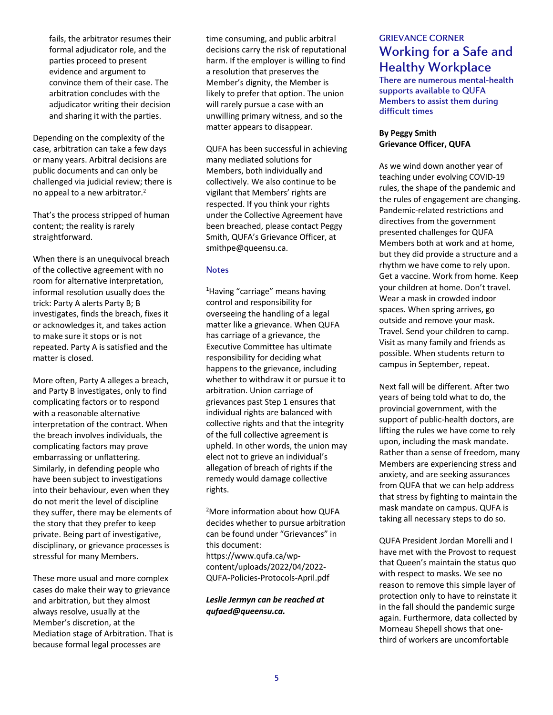fails, the arbitrator resumes their formal adjudicator role, and the parties proceed to present evidence and argument to convince them of their case. The arbitration concludes with the adjudicator writing their decision and sharing it with the parties.

Depending on the complexity of the case, arbitration can take a few days or many years. Arbitral decisions are public documents and can only be challenged via judicial review; there is no appeal to a new arbitrator. $2$ 

That's the process stripped of human content; the reality is rarely straightforward.

When there is an unequivocal breach of the collective agreement with no room for alternative interpretation, informal resolution usually does the trick: Party A alerts Party B; B investigates, finds the breach, fixes it or acknowledges it, and takes action to make sure it stops or is not repeated. Party A is satisfied and the matter is closed.

More often, Party A alleges a breach, and Party B investigates, only to find complicating factors or to respond with a reasonable alternative interpretation of the contract. When the breach involves individuals, the complicating factors may prove embarrassing or unflattering. Similarly, in defending people who have been subject to investigations into their behaviour, even when they do not merit the level of discipline they suffer, there may be elements of the story that they prefer to keep private. Being part of investigative, disciplinary, or grievance processes is stressful for many Members.

These more usual and more complex cases do make their way to grievance and arbitration, but they almost always resolve, usually at the Member's discretion, at the Mediation stage of Arbitration. That is because formal legal processes are

time consuming, and public arbitral decisions carry the risk of reputational harm. If the employer is willing to find a resolution that preserves the Member's dignity, the Member is likely to prefer that option. The union will rarely pursue a case with an unwilling primary witness, and so the matter appears to disappear.

QUFA has been successful in achieving many mediated solutions for Members, both individually and collectively. We also continue to be vigilant that Members' rights are respected. If you think your rights under the Collective Agreement have been breached, please contact Peggy Smith, QUFA's Grievance Officer, at smithpe@queensu.ca.

#### **Notes**

<sup>1</sup>Having "carriage" means having control and responsibility for overseeing the handling of a legal matter like a grievance. When QUFA has carriage of a grievance, the Executive Committee has ultimate responsibility for deciding what happens to the grievance, including whether to withdraw it or pursue it to arbitration. Union carriage of grievances past Step 1 ensures that individual rights are balanced with collective rights and that the integrity of the full collective agreement is upheld. In other words, the union may elect not to grieve an individual's allegation of breach of rights if the remedy would damage collective rights.

<sup>2</sup>More information about how QUFA decides whether to pursue arbitration can be found under "Grievances" in this document:

https://www.qufa.ca/wpcontent/uploads/2022/04/2022- QUFA-Policies-Protocols-April.pdf

#### *Leslie Jermyn can be reached at qufaed@queensu.ca.*

## GRIEVANCE CORNER Working for a Safe and Healthy Workplace

There are numerous mental-health supports available to QUFA Members to assist them during difficult times

### **By Peggy Smith Grievance Officer, QUFA**

As we wind down another year of teaching under evolving COVID-19 rules, the shape of the pandemic and the rules of engagement are changing. Pandemic-related restrictions and directives from the government presented challenges for QUFA Members both at work and at home, but they did provide a structure and a rhythm we have come to rely upon. Get a vaccine. Work from home. Keep your children at home. Don't travel. Wear a mask in crowded indoor spaces. When spring arrives, go outside and remove your mask. Travel. Send your children to camp. Visit as many family and friends as possible. When students return to campus in September, repeat.

Next fall will be different. After two years of being told what to do, the provincial government, with the support of public-health doctors, are lifting the rules we have come to rely upon, including the mask mandate. Rather than a sense of freedom, many Members are experiencing stress and anxiety, and are seeking assurances from QUFA that we can help address that stress by fighting to maintain the mask mandate on campus. QUFA is taking all necessary steps to do so.

QUFA President Jordan Morelli and I have met with the Provost to request that Queen's maintain the status quo with respect to masks. We see no reason to remove this simple layer of protection only to have to reinstate it in the fall should the pandemic surge again. Furthermore, data collected by Morneau Shepell shows that onethird of workers are uncomfortable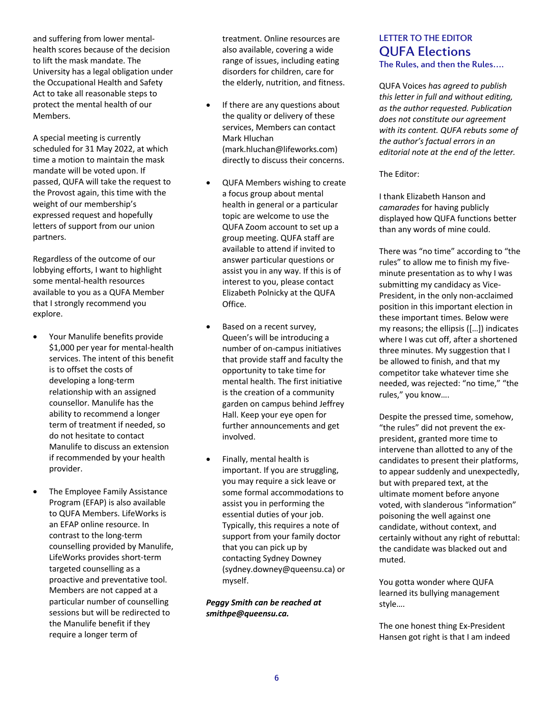and suffering from lower mentalhealth scores because of the decision to lift the mask mandate. The University has a legal obligation under the Occupational Health and Safety Act to take all reasonable steps to protect the mental health of our Members.

A special meeting is currently scheduled for 31 May 2022, at which time a motion to maintain the mask mandate will be voted upon. If passed, QUFA will take the request to the Provost again, this time with the weight of our membership's expressed request and hopefully letters of support from our union partners.

Regardless of the outcome of our lobbying efforts, I want to highlight some mental-health resources available to you as a QUFA Member that I strongly recommend you explore.

- Your Manulife benefits provide \$1,000 per year for mental-health services. The intent of this benefit is to offset the costs of developing a long-term relationship with an assigned counsellor. Manulife has the ability to recommend a longer term of treatment if needed, so do not hesitate to contact Manulife to discuss an extension if recommended by your health provider.
- The Employee Family Assistance Program (EFAP) is also available to QUFA Members. LifeWorks is an EFAP online resource. In contrast to the long-term counselling provided by Manulife, LifeWorks provides short-term targeted counselling as a proactive and preventative tool. Members are not capped at a particular number of counselling sessions but will be redirected to the Manulife benefit if they require a longer term of

treatment. Online resources are also available, covering a wide range of issues, including eating disorders for children, care for the elderly, nutrition, and fitness.

- If there are any questions about the quality or delivery of these services, Members can contact Mark Hluchan (mark.hluchan@lifeworks.com) directly to discuss their concerns.
- QUFA Members wishing to create a focus group about mental health in general or a particular topic are welcome to use the QUFA Zoom account to set up a group meeting. QUFA staff are available to attend if invited to answer particular questions or assist you in any way. If this is of interest to you, please contact Elizabeth Polnicky at the QUFA Office.
- Based on a recent survey, Queen's will be introducing a number of on-campus initiatives that provide staff and faculty the opportunity to take time for mental health. The first initiative is the creation of a community garden on campus behind Jeffrey Hall. Keep your eye open for further announcements and get involved.
- Finally, mental health is important. If you are struggling, you may require a sick leave or some formal accommodations to assist you in performing the essential duties of your job. Typically, this requires a note of support from your family doctor that you can pick up by contacting Sydney Downey (sydney.downey@queensu.ca) or myself.

*Peggy Smith can be reached at smithpe@queensu.ca.*

## LETTER TO THE EDITOR QUFA Elections The Rules, and then the Rules….

QUFA Voices *has agreed to publish this letter in full and without editing, as the author requested. Publication does not constitute our agreement with its content. QUFA rebuts some of the author's factual errors in an editorial note at the end of the letter.* 

The Editor:

I thank Elizabeth Hanson and *camarades* for having publicly displayed how QUFA functions better than any words of mine could.

There was "no time" according to "the rules" to allow me to finish my fiveminute presentation as to why I was submitting my candidacy as Vice-President, in the only non-acclaimed position in this important election in these important times. Below were my reasons; the ellipsis ([…]) indicates where I was cut off, after a shortened three minutes. My suggestion that I be allowed to finish, and that my competitor take whatever time she needed, was rejected: "no time," "the rules," you know….

Despite the pressed time, somehow, "the rules" did not prevent the expresident, granted more time to intervene than allotted to any of the candidates to present their platforms, to appear suddenly and unexpectedly, but with prepared text, at the ultimate moment before anyone voted, with slanderous "information" poisoning the well against one candidate, without context, and certainly without any right of rebuttal: the candidate was blacked out and muted.

You gotta wonder where QUFA learned its bullying management style….

The one honest thing Ex-President Hansen got right is that I am indeed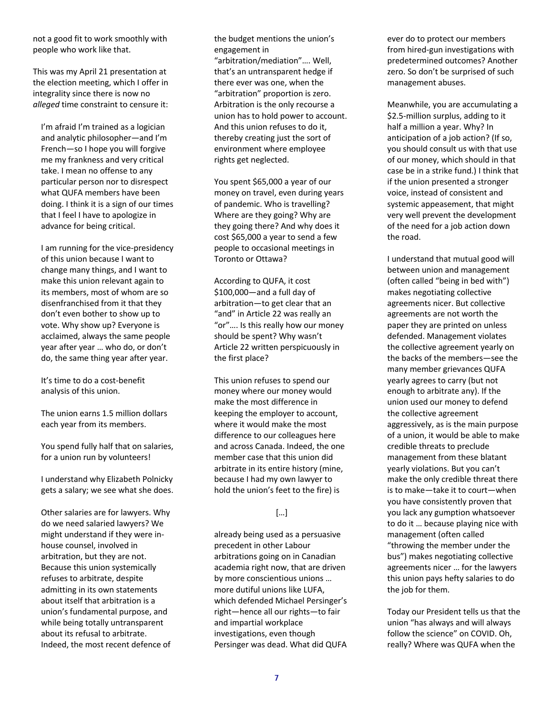not a good fit to work smoothly with people who work like that.

This was my April 21 presentation at the election meeting, which I offer in integrality since there is now no *alleged* time constraint to censure it:

I'm afraid I'm trained as a logician and analytic philosopher—and I'm French—so I hope you will forgive me my frankness and very critical take. I mean no offense to any particular person nor to disrespect what QUFA members have been doing. I think it is a sign of our times that I feel I have to apologize in advance for being critical.

I am running for the vice-presidency of this union because I want to change many things, and I want to make this union relevant again to its members, most of whom are so disenfranchised from it that they don't even bother to show up to vote. Why show up? Everyone is acclaimed, always the same people year after year … who do, or don't do, the same thing year after year.

It's time to do a cost-benefit analysis of this union.

The union earns 1.5 million dollars each year from its members.

You spend fully half that on salaries, for a union run by volunteers!

I understand why Elizabeth Polnicky gets a salary; we see what she does.

Other salaries are for lawyers. Why do we need salaried lawyers? We might understand if they were inhouse counsel, involved in arbitration, but they are not. Because this union systemically refuses to arbitrate, despite admitting in its own statements about itself that arbitration is a union's fundamental purpose, and while being totally untransparent about its refusal to arbitrate. Indeed, the most recent defence of the budget mentions the union's engagement in

"arbitration/mediation"…. Well, that's an untransparent hedge if there ever was one, when the "arbitration" proportion is zero. Arbitration is the only recourse a union has to hold power to account. And this union refuses to do it, thereby creating just the sort of environment where employee rights get neglected.

You spent \$65,000 a year of our money on travel, even during years of pandemic. Who is travelling? Where are they going? Why are they going there? And why does it cost \$65,000 a year to send a few people to occasional meetings in Toronto or Ottawa?

According to QUFA, it cost \$100,000—and a full day of arbitration—to get clear that an "and" in Article 22 was really an "or"…. Is this really how our money should be spent? Why wasn't Article 22 written perspicuously in the first place?

This union refuses to spend our money where our money would make the most difference in keeping the employer to account, where it would make the most difference to our colleagues here and across Canada. Indeed, the one member case that this union did arbitrate in its entire history (mine, because I had my own lawyer to hold the union's feet to the fire) is

### […]

already being used as a persuasive precedent in other Labour arbitrations going on in Canadian academia right now, that are driven by more conscientious unions … more dutiful unions like LUFA, which defended Michael Persinger's right—hence all our rights—to fair and impartial workplace investigations, even though Persinger was dead. What did QUFA ever do to protect our members from hired-gun investigations with predetermined outcomes? Another zero. So don't be surprised of such management abuses.

Meanwhile, you are accumulating a \$2.5-million surplus, adding to it half a million a year. Why? In anticipation of a job action? (If so, you should consult us with that use of our money, which should in that case be in a strike fund.) I think that if the union presented a stronger voice, instead of consistent and systemic appeasement, that might very well prevent the development of the need for a job action down the road.

I understand that mutual good will between union and management (often called "being in bed with") makes negotiating collective agreements nicer. But collective agreements are not worth the paper they are printed on unless defended. Management violates the collective agreement yearly on the backs of the members—see the many member grievances QUFA yearly agrees to carry (but not enough to arbitrate any). If the union used our money to defend the collective agreement aggressively, as is the main purpose of a union, it would be able to make credible threats to preclude management from these blatant yearly violations. But you can't make the only credible threat there is to make—take it to court—when you have consistently proven that you lack any gumption whatsoever to do it … because playing nice with management (often called "throwing the member under the bus") makes negotiating collective agreements nicer … for the lawyers this union pays hefty salaries to do the job for them.

Today our President tells us that the union "has always and will always follow the science" on COVID. Oh, really? Where was QUFA when the